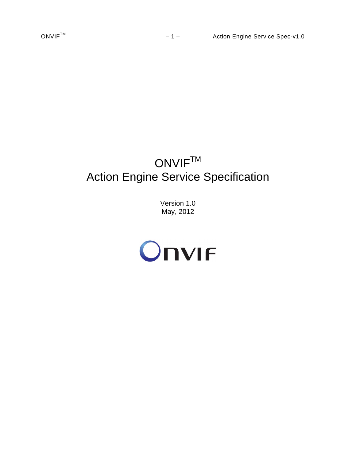# ONVIF<sup>TM</sup> Action Engine Service Specification

Version 1.0 May, 2012

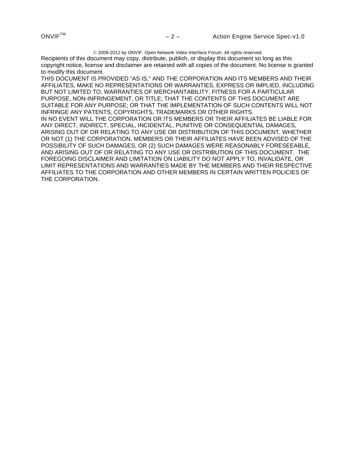2008-2012 by ONVIF: Open Network Video Interface Forum. All rights reserved.

Recipients of this document may copy, distribute, publish, or display this document so long as this copyright notice, license and disclaimer are retained with all copies of the document. No license is granted to modify this document.

THIS DOCUMENT IS PROVIDED "AS IS," AND THE CORPORATION AND ITS MEMBERS AND THEIR AFFILIATES, MAKE NO REPRESENTATIONS OR WARRANTIES, EXPRESS OR IMPLIED, INCLUDING BUT NOT LIMITED TO, WARRANTIES OF MERCHANTABILITY, FITNESS FOR A PARTICULAR PURPOSE, NON-INFRINGEMENT, OR TITLE; THAT THE CONTENTS OF THIS DOCUMENT ARE SUITABLE FOR ANY PURPOSE; OR THAT THE IMPLEMENTATION OF SUCH CONTENTS WILL NOT INFRINGE ANY PATENTS, COPYRIGHTS, TRADEMARKS OR OTHER RIGHTS. IN NO EVENT WILL THE CORPORATION OR ITS MEMBERS OR THEIR AFFILIATES BE LIABLE FOR ANY DIRECT, INDIRECT, SPECIAL, INCIDENTAL, PUNITIVE OR CONSEQUENTIAL DAMAGES, ARISING OUT OF OR RELATING TO ANY USE OR DISTRIBUTION OF THIS DOCUMENT, WHETHER OR NOT (1) THE CORPORATION, MEMBERS OR THEIR AFFILIATES HAVE BEEN ADVISED OF THE POSSIBILITY OF SUCH DAMAGES, OR (2) SUCH DAMAGES WERE REASONABLY FORESEEABLE, AND ARISING OUT OF OR RELATING TO ANY USE OR DISTRIBUTION OF THIS DOCUMENT. THE FOREGOING DISCLAIMER AND LIMITATION ON LIABILITY DO NOT APPLY TO, INVALIDATE, OR LIMIT REPRESENTATIONS AND WARRANTIES MADE BY THE MEMBERS AND THEIR RESPECTIVE AFFILIATES TO THE CORPORATION AND OTHER MEMBERS IN CERTAIN WRITTEN POLICIES OF THE CORPORATION.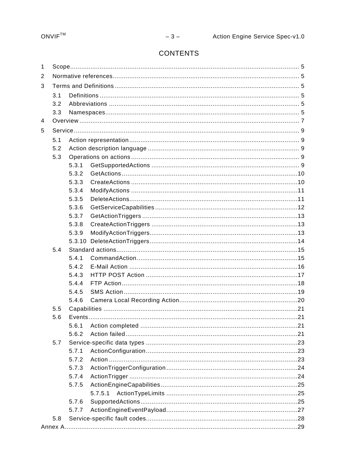# CONTENTS

| 1                                                                                                                                                |     |       |  |  |  |
|--------------------------------------------------------------------------------------------------------------------------------------------------|-----|-------|--|--|--|
| 2                                                                                                                                                |     |       |  |  |  |
| 3                                                                                                                                                |     |       |  |  |  |
|                                                                                                                                                  | 3.1 |       |  |  |  |
|                                                                                                                                                  |     |       |  |  |  |
|                                                                                                                                                  |     |       |  |  |  |
|                                                                                                                                                  |     |       |  |  |  |
| 5                                                                                                                                                |     |       |  |  |  |
|                                                                                                                                                  | 5.1 |       |  |  |  |
|                                                                                                                                                  | 5.2 |       |  |  |  |
|                                                                                                                                                  | 5.3 |       |  |  |  |
|                                                                                                                                                  |     | 5.3.1 |  |  |  |
|                                                                                                                                                  |     | 5.3.2 |  |  |  |
|                                                                                                                                                  |     | 5.3.3 |  |  |  |
|                                                                                                                                                  |     | 5.3.4 |  |  |  |
|                                                                                                                                                  |     | 5.3.5 |  |  |  |
|                                                                                                                                                  |     | 5.3.6 |  |  |  |
|                                                                                                                                                  |     | 5.3.7 |  |  |  |
|                                                                                                                                                  |     | 5.3.8 |  |  |  |
|                                                                                                                                                  |     | 5.3.9 |  |  |  |
|                                                                                                                                                  |     |       |  |  |  |
|                                                                                                                                                  | 5.4 |       |  |  |  |
|                                                                                                                                                  |     | 5.4.1 |  |  |  |
|                                                                                                                                                  |     | 5.4.2 |  |  |  |
|                                                                                                                                                  |     | 5.4.3 |  |  |  |
|                                                                                                                                                  |     | 5.4.4 |  |  |  |
|                                                                                                                                                  |     | 5.4.5 |  |  |  |
| 3.2<br>3.3<br>4<br>5.4.6<br>5.5<br>5.6<br>5.6.1<br>5.6.2<br>5.7<br>5.7.1<br>5.7.2<br>5.7.3<br>5.7.4<br>5.7.5<br>5.7.5.1<br>5.7.6<br>5.7.7<br>5.8 |     |       |  |  |  |
|                                                                                                                                                  |     |       |  |  |  |
|                                                                                                                                                  |     |       |  |  |  |
|                                                                                                                                                  |     |       |  |  |  |
|                                                                                                                                                  |     |       |  |  |  |
|                                                                                                                                                  |     |       |  |  |  |
|                                                                                                                                                  |     |       |  |  |  |
|                                                                                                                                                  |     |       |  |  |  |
|                                                                                                                                                  |     |       |  |  |  |
|                                                                                                                                                  |     |       |  |  |  |
|                                                                                                                                                  |     |       |  |  |  |
|                                                                                                                                                  |     |       |  |  |  |
|                                                                                                                                                  |     |       |  |  |  |
|                                                                                                                                                  |     |       |  |  |  |
|                                                                                                                                                  |     |       |  |  |  |
|                                                                                                                                                  |     |       |  |  |  |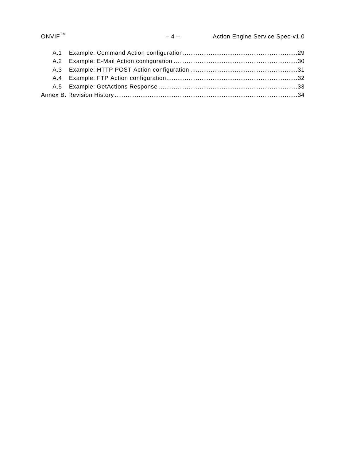| $ONVIF^{TM}$ | $-4-$ | Action Engine Service Spec-v1.0 |
|--------------|-------|---------------------------------|
| A.1          |       |                                 |
|              |       |                                 |
|              |       |                                 |
|              |       |                                 |
|              |       |                                 |

[Annex B. Revision History...................................................................................................34](#page-33-0)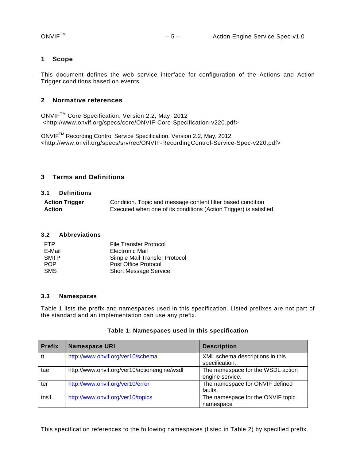# <span id="page-4-0"></span>**1 Scope**

This document defines the web service interface for configuration of the Actions and Action Trigger conditions based on events.

# <span id="page-4-1"></span>**2 Normative references**

ONVIFTM Core Specification, Version 2.2, May, 2012 <http://www.onvif.org/specs/core/ONVIF-Core-Specification-v220.pdf>

ONVIFTM Recording Control Service Specification, Version 2.2, May, 2012. <http://www.onvif.org/specs/srv/rec/ONVIF-RecordingControl-Service-Spec-v220.pdf>

# <span id="page-4-2"></span>**3 Terms and Definitions**

#### <span id="page-4-3"></span>**3.1 Definitions**

| <b>Action Trigger</b> | Condition. Topic and message content filter based condition       |
|-----------------------|-------------------------------------------------------------------|
| Action                | Executed when one of its conditions (Action Trigger) is satisfied |

#### <span id="page-4-4"></span>**3.2 Abbreviations**

| <b>FTP</b>  | <b>File Transfer Protocol</b> |
|-------------|-------------------------------|
| E-Mail      | Electronic Mail               |
| <b>SMTP</b> | Simple Mail Transfer Protocol |
| <b>POP</b>  | Post Office Protocol          |
| <b>SMS</b>  | <b>Short Message Service</b>  |

#### <span id="page-4-5"></span>**3.3 Namespaces**

Table 1 lists the prefix and namespaces used in this specification. Listed prefixes are not part of the standard and an implementation can use any prefix.

| <b>Prefix</b>    | <b>Namespace URI</b>                         | <b>Description</b>                                   |
|------------------|----------------------------------------------|------------------------------------------------------|
| tt               | http://www.onvif.org/ver10/schema            | XML schema descriptions in this<br>specification.    |
| tae              | http://www.onvif.org/ver10/actionengine/wsdl | The namespace for the WSDL action<br>engine service. |
| ter              | http://www.onvif.org/ver10/error             | The namespace for ONVIF defined<br>faults.           |
| tns <sub>1</sub> | http://www.onvif.org/ver10/topics            | The namespace for the ONVIF topic<br>namespace       |

#### **Table 1: Namespaces used in this specification**

This specification references to the following namespaces (listed in Table 2) by specified prefix.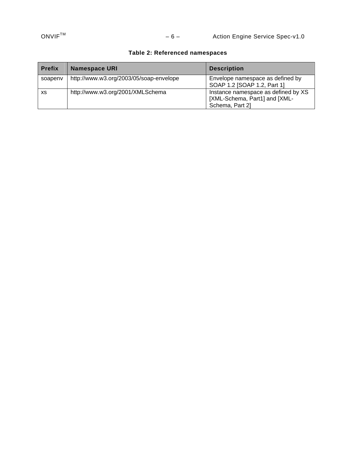# **Table 2: Referenced namespaces**

| <b>Prefix</b> | <b>Namespace URI</b>                    | <b>Description</b>                                                                      |
|---------------|-----------------------------------------|-----------------------------------------------------------------------------------------|
| soapenv       | http://www.w3.org/2003/05/soap-envelope | Envelope namespace as defined by<br>SOAP 1.2 [SOAP 1.2, Part 1]                         |
| XS            | http://www.w3.org/2001/XMLSchema        | Instance namespace as defined by XS<br>[XML-Schema, Part1] and [XML-<br>Schema, Part 2] |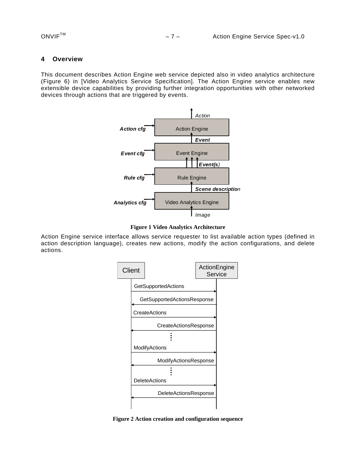#### <span id="page-6-0"></span>**4 Overview**

This document describes Action Engine web service depicted also in video analytics architecture (Figure 6) in [Video Analytics Service Specification]. The Action Engine service enables new extensible device capabilities by providing further integration opportunities with other networked devices through actions that are triggered by events.



**Figure 1 Video Analytics Architecture** 

Action Engine service interface allows service requester to list available action types (defined in action description language), creates new actions, modify the action configurations, and delete actions.



**Figure 2 Action creation and configuration sequence**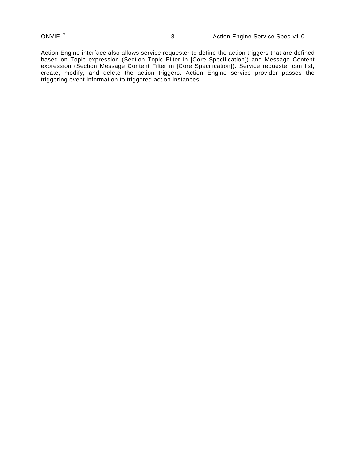Action Engine interface also allows service requester to define the action triggers that are defined based on Topic expression (Section Topic Filter in [Core Specification]) and Message Content expression (Section Message Content Filter in [Core Specification]). Service requester can list, create, modify, and delete the action triggers. Action Engine service provider passes the triggering event information to triggered action instances.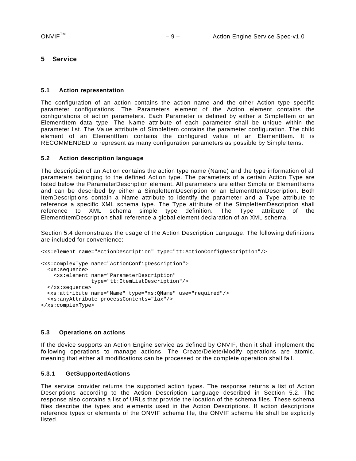# <span id="page-8-0"></span>**5 Service**

#### <span id="page-8-1"></span>**5.1 Action representation**

The configuration of an action contains the action name and the other Action type specific parameter configurations. The Parameters element of the Action element contains the configurations of action parameters. Each Parameter is defined by either a SimpleItem or an ElementItem data type. The Name attribute of each parameter shall be unique within the parameter list. The Value attribute of SimpleItem contains the parameter configuration. The child element of an ElementItem contains the configured value of an ElementItem. It is RECOMMENDED to represent as many configuration parameters as possible by SimpleItems.

#### <span id="page-8-2"></span>**5.2 Action description language**

The description of an Action contains the action type name (Name) and the type information of all parameters belonging to the defined Action type. The parameters of a certain Action Type are listed below the ParameterDescription element. All parameters are either Simple or ElementItems and can be described by either a SimpleItemDescription or an ElementItemDescription. Both ItemDescriptions contain a Name attribute to identify the parameter and a Type attribute to reference a specific XML schema type. The Type attribute of the SimpleItemDescription shall reference to XML schema simple type definition. The Type attribute of the ElementItemDescription shall reference a global element declaration of an XML schema.

Section [5.4](#page-14-0) demonstrates the usage of the Action Description Language. The following definitions are included for convenience:

```
<xs:element name="ActionDescription" type="tt:ActionConfigDescription"/>
```

```
<xs:complexType name="ActionConfigDescription"> 
  <xs:sequence> 
     <xs:element name="ParameterDescription" 
                 type="tt:ItemListDescription"/> 
  </xs:sequence> 
 <xs:attribute name="Name" type="xs:QName" use="required"/> 
   <xs:anyAttribute processContents="lax"/> 
</xs:complexType>
```
#### <span id="page-8-3"></span>**5.3 Operations on actions**

If the device supports an Action Engine service as defined by ONVIF, then it shall implement the following operations to manage actions. The Create/Delete/Modify operations are atomic, meaning that either all modifications can be processed or the complete operation shall fail.

#### <span id="page-8-4"></span>**5.3.1 GetSupportedActions**

The service provider returns the supported action types. The response returns a list of Action Descriptions according to the Action Description Language described in Section [5.2.](#page-8-2) The response also contains a list of URLs that provide the location of the schema files. These schema files describe the types and elements used in the Action Descriptions. If action descriptions reference types or elements of the ONVIF schema file, the ONVIF schema file shall be explicitly listed.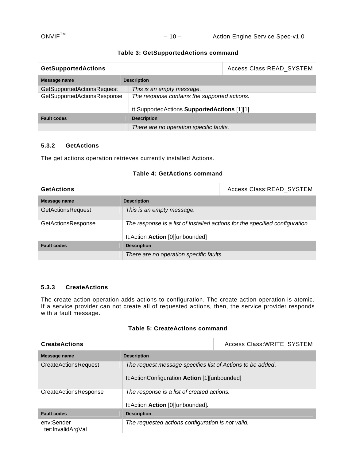# ONVIF<sup>™</sup> – 10 – Action Engine Service Spec-v1.0

|  | Table 3: GetSupportedActions command |  |
|--|--------------------------------------|--|
|--|--------------------------------------|--|

| <b>GetSupportedActions</b>        | Access Class:READ_SYSTEM                     |  |
|-----------------------------------|----------------------------------------------|--|
| Message name                      | <b>Description</b>                           |  |
| <b>GetSupportedActionsRequest</b> | This is an empty message.                    |  |
| GetSupportedActionsResponse       | The response contains the supported actions. |  |
|                                   | tt:SupportedActions SupportedActions [1][1]  |  |
| <b>Fault codes</b>                | <b>Description</b>                           |  |
|                                   | There are no operation specific faults.      |  |

# <span id="page-9-0"></span>**5.3.2 GetActions**

The get actions operation retrieves currently installed Actions.

### **Table 4: GetActions command**

| <b>GetActions</b>         | Access Class:READ_SYSTEM                                                                                        |  |
|---------------------------|-----------------------------------------------------------------------------------------------------------------|--|
| Message name              | <b>Description</b>                                                                                              |  |
| <b>GetActionsRequest</b>  | This is an empty message.                                                                                       |  |
| <b>GetActionsResponse</b> | The response is a list of installed actions for the specified configuration.<br>tt:Action Action [0][unbounded] |  |
| <b>Fault codes</b>        | <b>Description</b>                                                                                              |  |
|                           | There are no operation specific faults.                                                                         |  |

#### <span id="page-9-1"></span>**5.3.3 CreateActions**

The create action operation adds actions to configuration. The create action operation is atomic. If a service provider can not create all of requested actions, then, the service provider responds with a fault message.

# **Table 5: CreateActions command**

| <b>CreateActions</b>            | Access Class: WRITE_SYSTEM                                                                                 |  |
|---------------------------------|------------------------------------------------------------------------------------------------------------|--|
| Message name                    | <b>Description</b>                                                                                         |  |
| <b>CreateActionsRequest</b>     | The request message specifies list of Actions to be added.<br>tt:ActionConfiguration Action [1][unbounded] |  |
| <b>CreateActionsResponse</b>    | The response is a list of created actions.<br>tt:Action Action [0][unbounded].                             |  |
| <b>Fault codes</b>              | <b>Description</b>                                                                                         |  |
| env:Sender<br>ter:InvalidArgVal | The requested actions configuration is not valid.                                                          |  |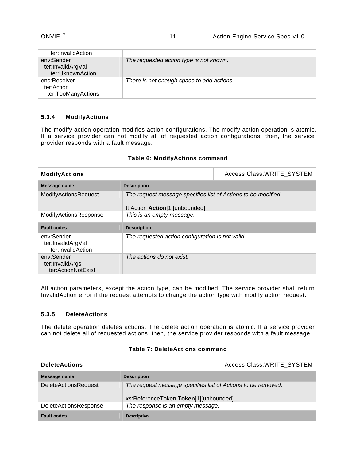| ter:InvalidAction                                   |                                           |
|-----------------------------------------------------|-------------------------------------------|
| env:Sender<br>ter:InvalidArgVal<br>ter:UknownAction | The requested action type is not known.   |
| enc:Receiver<br>ter:Action<br>ter:TooManyActions    | There is not enough space to add actions. |

# <span id="page-10-0"></span>**5.3.4 ModifyActions**

The modify action operation modifies action configurations. The modify action operation is atomic. If a service provider can not modify all of requested action configurations, then, the service provider responds with a fault message.

| <b>ModifyActions</b>                                 |                                                                                                 | Access Class: WRITE_SYSTEM |
|------------------------------------------------------|-------------------------------------------------------------------------------------------------|----------------------------|
| Message name                                         | <b>Description</b>                                                                              |                            |
| <b>ModifyActionsRequest</b>                          | The request message specifies list of Actions to be modified.<br>tt:Action Action[1][unbounded] |                            |
| ModifyActionsResponse                                | This is an empty message.                                                                       |                            |
| <b>Fault codes</b>                                   | <b>Description</b>                                                                              |                            |
| env:Sender<br>ter:InvalidArgVal<br>ter:InvalidAction | The requested action configuration is not valid.                                                |                            |
| env:Sender<br>ter:InvalidArgs<br>ter:ActionNotExist  | The actions do not exist.                                                                       |                            |

### **Table 6: ModifyActions command**

All action parameters, except the action type, can be modified. The service provider shall return InvalidAction error if the request attempts to change the action type with modify action request.

# <span id="page-10-1"></span>**5.3.5 DeleteActions**

The delete operation deletes actions. The delete action operation is atomic. If a service provider can not delete all of requested actions, then, the service provider responds with a fault message.

| <b>DeleteActions</b>         |                                                                                                       | Access Class: WRITE_SYSTEM |
|------------------------------|-------------------------------------------------------------------------------------------------------|----------------------------|
| Message name                 | <b>Description</b>                                                                                    |                            |
| <b>DeleteActionsRequest</b>  | The request message specifies list of Actions to be removed.<br>xs:ReferenceToken Token[1][unbounded] |                            |
| <b>DeleteActionsResponse</b> | The response is an empty message.                                                                     |                            |
| <b>Fault codes</b>           | <b>Description</b>                                                                                    |                            |

#### **Table 7: DeleteActions command**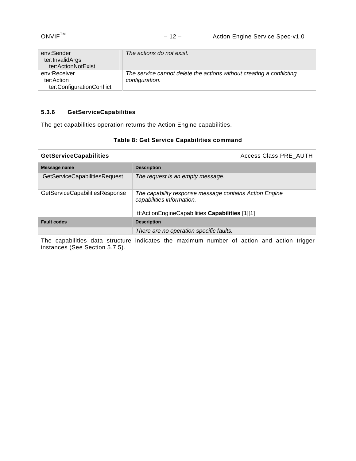| env:Sender<br>ter:InvalidArgs<br>ter:ActionNotExist     | The actions do not exist.                                                              |
|---------------------------------------------------------|----------------------------------------------------------------------------------------|
| env:Receiver<br>ter:Action<br>ter:ConfigurationConflict | The service cannot delete the actions without creating a conflicting<br>configuration. |

# <span id="page-11-0"></span>**5.3.6 GetServiceCapabilities**

The get capabilities operation returns the Action Engine capabilities.

|  |  |  | Table 8: Get Service Capabilities command |  |
|--|--|--|-------------------------------------------|--|
|--|--|--|-------------------------------------------|--|

| <b>GetServiceCapabilities</b>  |                                                                                     | Access Class: PRE AUTH |
|--------------------------------|-------------------------------------------------------------------------------------|------------------------|
| Message name                   | <b>Description</b>                                                                  |                        |
| GetServiceCapabilitiesRequest  | The request is an empty message.                                                    |                        |
| GetServiceCapabilitiesResponse | The capability response message contains Action Engine<br>capabilities information. |                        |
|                                | tt:ActionEngineCapabilities Capabilities [1][1]                                     |                        |
| <b>Fault codes</b>             | <b>Description</b>                                                                  |                        |
|                                | There are no operation specific faults.                                             |                        |

The capabilities data structure indicates the maximum number of action and action trigger instances (See Section [5.7.5](#page-24-0)).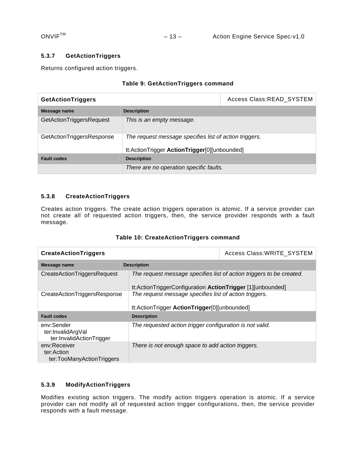# <span id="page-12-0"></span>**5.3.7 GetActionTriggers**

Returns configured action triggers.

### **Table 9: GetActionTriggers command**

| <b>GetActionTriggers</b>  |                                                        | Access Class:READ_SYSTEM |
|---------------------------|--------------------------------------------------------|--------------------------|
| Message name              | <b>Description</b>                                     |                          |
| GetActionTriggersRequest  | This is an empty message.                              |                          |
| GetActionTriggersResponse | The request message specifies list of action triggers. |                          |
|                           | tt:ActionTrigger ActionTrigger[0][unbounded]           |                          |
| <b>Fault codes</b>        | <b>Description</b>                                     |                          |
|                           | There are no operation specific faults.                |                          |

# <span id="page-12-1"></span>**5.3.8 CreateActionTriggers**

Creates action triggers. The create action triggers operation is atomic. If a service provider can not create all of requested action triggers, then, the service provider responds with a fault message.

| <b>CreateActionTriggers</b>                                 |                                                                                                                                    | Access Class: WRITE SYSTEM |
|-------------------------------------------------------------|------------------------------------------------------------------------------------------------------------------------------------|----------------------------|
| Message name                                                | <b>Description</b>                                                                                                                 |                            |
| CreateActionTriggersRequest                                 | The request message specifies list of action triggers to be created.<br>tt:ActionTriggerConfiguration ActionTrigger [1][unbounded] |                            |
| CreateActionTriggersResponse                                | The request message specifies list of action triggers.<br>tt:ActionTrigger ActionTrigger[0][unbounded]                             |                            |
| <b>Fault codes</b>                                          | <b>Description</b>                                                                                                                 |                            |
| env:Sender<br>ter:InvalidArgVal<br>ter:InvalidActionTrigger | The requested action trigger configuration is not valid.                                                                           |                            |
| env:Receiver<br>ter:Action<br>ter:TooManyActionTriggers     | There is not enough space to add action triggers.                                                                                  |                            |

# <span id="page-12-2"></span>**5.3.9 ModifyActionTriggers**

Modifies existing action triggers. The modify action triggers operation is atomic. If a service provider can not modify all of requested action trigger configurations, then, the service provider responds with a fault message.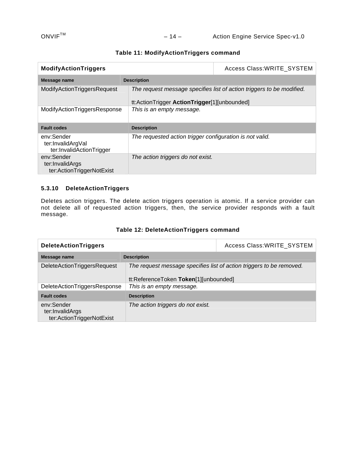| <b>ModifyActionTriggers</b>                                 |                                                          | Access Class: WRITE_SYSTEM                                            |
|-------------------------------------------------------------|----------------------------------------------------------|-----------------------------------------------------------------------|
| Message name                                                | <b>Description</b>                                       |                                                                       |
| ModifyActionTriggersRequest                                 | tt:ActionTrigger ActionTrigger[1][unbounded]             | The request message specifies list of action triggers to be modified. |
| ModifyActionTriggersResponse                                | This is an empty message.                                |                                                                       |
| <b>Fault codes</b>                                          | <b>Description</b>                                       |                                                                       |
| env:Sender<br>ter:InvalidArgVal<br>ter:InvalidActionTrigger | The requested action trigger configuration is not valid. |                                                                       |
| env:Sender<br>ter:InvalidArgs<br>ter:ActionTriggerNotExist  | The action triggers do not exist.                        |                                                                       |

#### **Table 11: ModifyActionTriggers command**

# <span id="page-13-0"></span>**5.3.10 DeleteActionTriggers**

Deletes action triggers. The delete action triggers operation is atomic. If a service provider can not delete all of requested action triggers, then, the service provider responds with a fault message.

| <b>DeleteActionTriggers</b>                                |                                                                                                               | Access Class: WRITE SYSTEM |
|------------------------------------------------------------|---------------------------------------------------------------------------------------------------------------|----------------------------|
| Message name                                               | <b>Description</b>                                                                                            |                            |
| <b>DeleteActionTriggersRequest</b>                         | The request message specifies list of action triggers to be removed.<br>tt:ReferenceToken Token[1][unbounded] |                            |
| DeleteActionTriggersResponse                               | This is an empty message.                                                                                     |                            |
| <b>Fault codes</b>                                         | <b>Description</b>                                                                                            |                            |
| env:Sender<br>ter:InvalidArgs<br>ter:ActionTriggerNotExist | The action triggers do not exist.                                                                             |                            |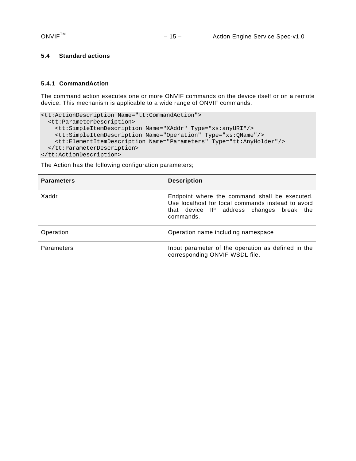# <span id="page-14-0"></span>**5.4 Standard actions**

#### <span id="page-14-1"></span>**5.4.1 CommandAction**

The command action executes one or more ONVIF commands on the device itself or on a remote device. This mechanism is applicable to a wide range of ONVIF commands.

```
<tt:ActionDescription Name="tt:CommandAction"> 
   <tt:ParameterDescription> 
     <tt:SimpleItemDescription Name="XAddr" Type="xs:anyURI"/> 
     <tt:SimpleItemDescription Name="Operation" Type="xs:QName"/> 
     <tt:ElementItemDescription Name="Parameters" Type="tt:AnyHolder"/> 
   </tt:ParameterDescription> 
</tt:ActionDescription>
```

| <b>Parameters</b> | <b>Description</b>                                                                                                                                          |
|-------------------|-------------------------------------------------------------------------------------------------------------------------------------------------------------|
| Xaddr             | Endpoint where the command shall be executed.<br>Use localhost for local commands instead to avoid<br>that device IP address changes break the<br>commands. |
| Operation         | Operation name including namespace                                                                                                                          |
| Parameters        | Input parameter of the operation as defined in the<br>corresponding ONVIF WSDL file.                                                                        |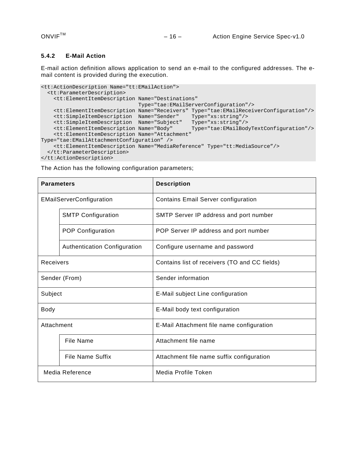#### <span id="page-15-0"></span>**5.4.2 E-Mail Action**

E-mail action definition allows application to send an e-mail to the configured addresses. The email content is provided during the execution.

```
<tt:ActionDescription Name="tt:EMailAction"> 
   <tt:ParameterDescription> 
    <tt:ElementItemDescription Name="Destinations" 
                               Type="tae:EMailServerConfiguration"/> 
 <tt:ElementItemDescription Name="Receivers" Type="tae:EMailReceiverConfiguration"/> 
 <tt:SimpleItemDescription Name="Sender" Type="xs:string"/> 
 <tt:SimpleItemDescription Name="Subject" Type="xs:string"/> 
 <tt:ElementItemDescription Name="Body" Type="tae:EMailBodyTextConfiguration"/> 
     <tt:ElementItemDescription Name="Attachment" 
Type="tae:EMailAttachmentConfiguration" /> 
    <tt:ElementItemDescription Name="MediaReference" Type="tt:MediaSource"/> 
   </tt:ParameterDescription> 
</tt:ActionDescription>
```

| <b>Parameters</b>        |                              | <b>Description</b>                            |  |
|--------------------------|------------------------------|-----------------------------------------------|--|
| EMailServerConfiguration |                              | <b>Contains Email Server configuration</b>    |  |
|                          | <b>SMTP Configuration</b>    | SMTP Server IP address and port number        |  |
|                          | <b>POP Configuration</b>     | POP Server IP address and port number         |  |
|                          | Authentication Configuration | Configure username and password               |  |
| Receivers                |                              | Contains list of receivers (TO and CC fields) |  |
| Sender (From)            |                              | Sender information                            |  |
| Subject                  |                              | E-Mail subject Line configuration             |  |
| <b>Body</b>              |                              | E-Mail body text configuration                |  |
| Attachment               |                              | E-Mail Attachment file name configuration     |  |
|                          | File Name                    | Attachment file name                          |  |
|                          | <b>File Name Suffix</b>      | Attachment file name suffix configuration     |  |
| Media Reference          |                              | Media Profile Token                           |  |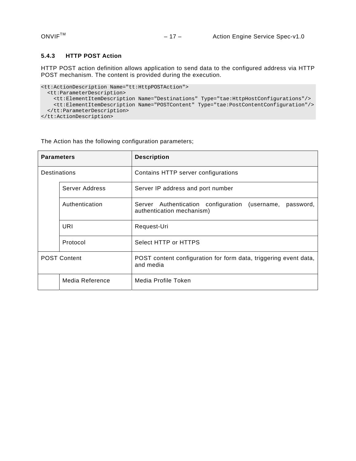#### <span id="page-16-0"></span>**5.4.3 HTTP POST Action**

HTTP POST action definition allows application to send data to the configured address via HTTP POST mechanism. The content is provided during the execution.

```
<tt:ActionDescription Name="tt:HttpPOSTAction"> 
  <tt:ParameterDescription> 
    <tt:ElementItemDescription Name="Destinations" Type="tae:HttpHostConfigurations"/> 
    <tt:ElementItemDescription Name="POSTContent" Type="tae:PostContentConfiguration"/> 
  </tt:ParameterDescription> 
</tt:ActionDescription>
```

| <b>Parameters</b>   |                 | <b>Description</b>                                                                          |  |
|---------------------|-----------------|---------------------------------------------------------------------------------------------|--|
| <b>Destinations</b> |                 | Contains HTTP server configurations                                                         |  |
| Server Address      |                 | Server IP address and port number                                                           |  |
|                     | Authentication  | Authentication configuration (username,<br>Server<br>password,<br>authentication mechanism) |  |
|                     | URI             | Request-Uri                                                                                 |  |
|                     | Protocol        | Select HTTP or HTTPS                                                                        |  |
| <b>POST Content</b> |                 | POST content configuration for form data, triggering event data,<br>and media               |  |
|                     | Media Reference | Media Profile Token                                                                         |  |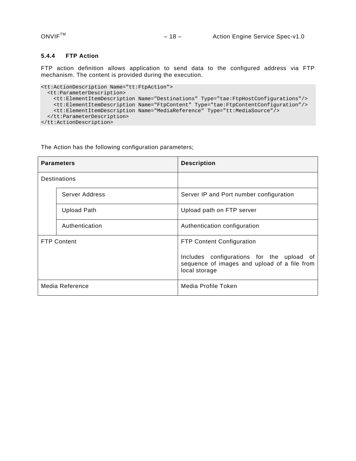### <span id="page-17-0"></span>**5.4.4 FTP Action**

FTP action definition allows application to send data to the configured address via FTP mechanism. The content is provided during the execution.

```
<tt:ActionDescription Name="tt:FtpAction"> 
  <tt:ParameterDescription> 
    <tt:ElementItemDescription Name="Destinations" Type="tae:FtpHostConfigurations"/> 
    <tt:ElementItemDescription Name="FtpContent" Type="tae:FtpContentConfiguration"/> 
    <tt:ElementItemDescription Name="MediaReference" Type="tt:MediaSource"/> 
  </tt:ParameterDescription> 
</tt:ActionDescription>
```

| <b>Parameters</b>  |                    | <b>Description</b>                                                                                         |
|--------------------|--------------------|------------------------------------------------------------------------------------------------------------|
| Destinations       |                    |                                                                                                            |
|                    | Server Address     | Server IP and Port number configuration                                                                    |
|                    | <b>Upload Path</b> | Upload path on FTP server                                                                                  |
|                    | Authentication     | Authentication configuration                                                                               |
| <b>FTP Content</b> |                    | <b>FTP Content Configuration</b>                                                                           |
|                    |                    | Includes configurations for the upload of<br>sequence of images and upload of a file from<br>local storage |
| Media Reference    |                    | Media Profile Token                                                                                        |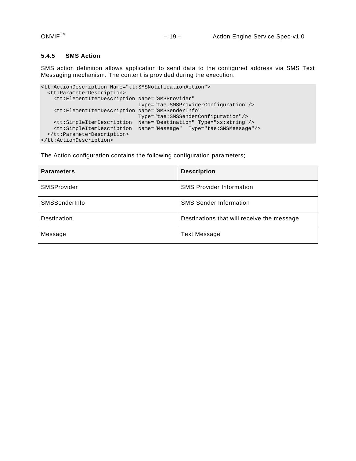### <span id="page-18-0"></span>**5.4.5 SMS Action**

SMS action definition allows application to send data to the configured address via SMS Text Messaging mechanism. The content is provided during the execution.

```
<tt:ActionDescription Name="tt:SMSNotificationAction"> 
   <tt:ParameterDescription> 
    <tt:ElementItemDescription Name="SMSProvider" 
                                Type="tae:SMSProviderConfiguration"/> 
     <tt:ElementItemDescription Name="SMSSenderInfo" 
                                Type="tae:SMSSenderConfiguration"/> 
     <tt:SimpleItemDescription Name="Destination" Type="xs:string"/> 
     <tt:SimpleItemDescription Name="Message" Type="tae:SMSMessage"/> 
  </tt:ParameterDescription> 
</tt:ActionDescription>
```
The Action configuration contains the following configuration parameters;

| <b>Parameters</b> | <b>Description</b>                         |
|-------------------|--------------------------------------------|
| SMSProvider       | <b>SMS Provider Information</b>            |
| SMSSenderInfo     | <b>SMS Sender Information</b>              |
| Destination       | Destinations that will receive the message |
| Message           | <b>Text Message</b>                        |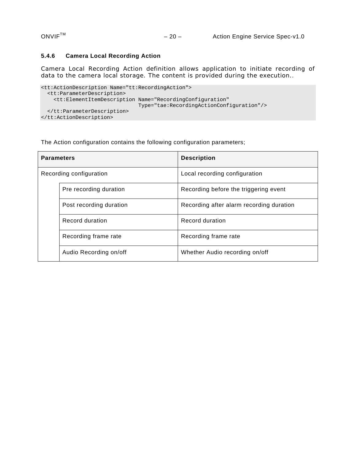# <span id="page-19-0"></span>**5.4.6 Camera Local Recording Action**

Camera Local Recording Action definition allows application to initiate recording of data to the camera local storage. The content is provided during the execution..

```
<tt:ActionDescription Name="tt:RecordingAction"> 
   <tt:ParameterDescription> 
    <tt:ElementItemDescription Name="RecordingConfiguration" 
                               Type="tae:RecordingActionConfiguration"/> 
   </tt:ParameterDescription> 
</tt:ActionDescription>
```
The Action configuration contains the following configuration parameters;

| <b>Parameters</b>       |                         | <b>Description</b>                       |
|-------------------------|-------------------------|------------------------------------------|
| Recording configuration |                         | Local recording configuration            |
|                         | Pre recording duration  | Recording before the triggering event    |
|                         | Post recording duration | Recording after alarm recording duration |
|                         | Record duration         | Record duration                          |
|                         | Recording frame rate    | Recording frame rate                     |
|                         | Audio Recording on/off  | Whether Audio recording on/off           |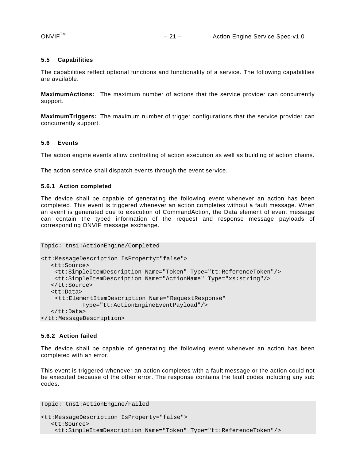#### <span id="page-20-0"></span>**5.5 Capabilities**

The capabilities reflect optional functions and functionality of a service. The following capabilities are available:

**MaximumActions:** The maximum number of actions that the service provider can concurrently support.

**MaximumTriggers:** The maximum number of trigger configurations that the service provider can concurrently support.

#### <span id="page-20-1"></span>**5.6 Events**

The action engine events allow controlling of action execution as well as building of action chains.

The action service shall dispatch events through the event service.

#### <span id="page-20-2"></span>**5.6.1 Action completed**

The device shall be capable of generating the following event whenever an action has been completed. This event is triggered whenever an action completes without a fault message. When an event is generated due to execution of CommandAction, the Data element of event message can contain the typed information of the request and response message payloads of corresponding ONVIF message exchange.

```
Topic: tns1:ActionEngine/Completed 
<tt:MessageDescription IsProperty="false"> 
   <tt:Source> 
    <tt:SimpleItemDescription Name="Token" Type="tt:ReferenceToken"/> 
    <tt:SimpleItemDescription Name="ActionName" Type="xs:string"/> 
    </tt:Source> 
    <tt:Data> 
     <tt:ElementItemDescription Name="RequestResponse" 
            Type="tt:ActionEngineEventPayload"/> 
    </tt:Data> 
</tt:MessageDescription>
```
#### <span id="page-20-3"></span>**5.6.2 Action failed**

The device shall be capable of generating the following event whenever an action has been completed with an error.

This event is triggered whenever an action completes with a fault message or the action could not be executed because of the other error. The response contains the fault codes including any sub codes.

```
Topic: tns1:ActionEngine/Failed 
<tt:MessageDescription IsProperty="false"> 
    <tt:Source> 
     <tt:SimpleItemDescription Name="Token" Type="tt:ReferenceToken"/>
```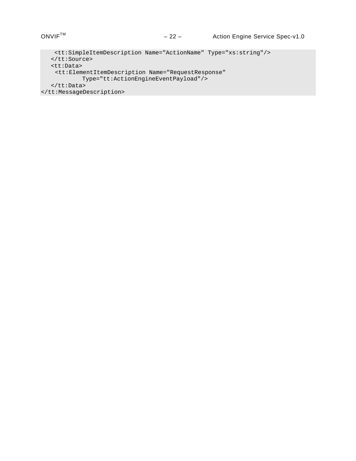```
 <tt:SimpleItemDescription Name="ActionName" Type="xs:string"/> 
   </tt:Source> 
   <tt:Data> 
    <tt:ElementItemDescription Name="RequestResponse" 
           Type="tt:ActionEngineEventPayload"/> 
   </tt:Data> 
</tt:MessageDescription>
```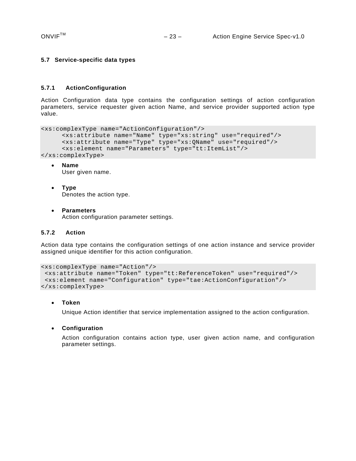#### <span id="page-22-0"></span>**5.7 Service-specific data types**

#### <span id="page-22-1"></span>**5.7.1 ActionConfiguration**

Action Configuration data type contains the configuration settings of action configuration parameters, service requester given action Name, and service provider supported action type value.

```
<xs:complexType name="ActionConfiguration"/> 
     <xs:attribute name="Name" type="xs:string" use="required"/> 
     <xs:attribute name="Type" type="xs:QName" use="required"/> 
     <xs:element name="Parameters" type="tt:ItemList"/> 
</xs:complexType>
```
- **Name**  User given name.
- **Type**  Denotes the action type.
- **Parameters**  Action configuration parameter settings.

#### <span id="page-22-2"></span>**5.7.2 Action**

Action data type contains the configuration settings of one action instance and service provider assigned unique identifier for this action configuration.

```
<xs:complexType name="Action"/> 
 <xs:attribute name="Token" type="tt:ReferenceToken" use="required"/> 
 <xs:element name="Configuration" type="tae:ActionConfiguration"/> 
</xs:complexType>
```
#### **Token**

Unique Action identifier that service implementation assigned to the action configuration.

#### **Configuration**

Action configuration contains action type, user given action name, and configuration parameter settings.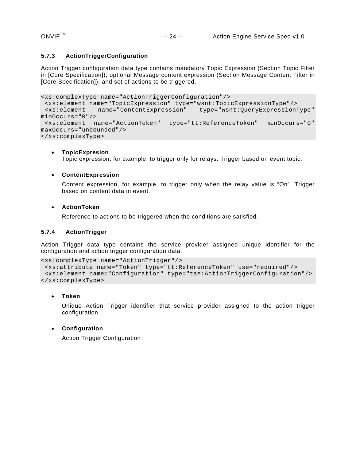#### <span id="page-23-0"></span>**5.7.3 ActionTriggerConfiguration**

Action Trigger configuration data type contains mandatory Topic Expression (Section Topic Filter in [Core Specification]), optional Message content expression (Section Message Content Filter in [Core Specification]), and set of actions to be triggered.

```
<xs:complexType name="ActionTriggerConfiguration"/> 
 <xs:element name="TopicExpression" type="wsnt:TopicExpressionType"/> 
 <xs:element name="ContentExpression" type="wsnt:QueryExpressionType" 
minOccurs="0"/> 
 <xs:element name="ActionToken" type="tt:ReferenceToken" minOccurs="0" 
maxOccurs="unbounded"/> 
</xs:complexType>
```
#### **TopicExpresion**

Topic expression, for example, to trigger only for relays. Trigger based on event topic.

#### **ContentExpression**

Content expression, for example, to trigger only when the relay value is "On". Trigger based on content data in event.

#### **ActionToken**

Reference to actions to be triggered when the conditions are satisfied.

#### <span id="page-23-1"></span>**5.7.4 ActionTrigger**

Action Trigger data type contains the service provider assigned unique identifier for the configuration and action trigger configuration data.

```
<xs:complexType name="ActionTrigger"/> 
 <xs:attribute name="Token" type="tt:ReferenceToken" use="required"/> 
 <xs:element name="Configuration" type="tae:ActionTriggerConfiguration"/> 
</xs:complexType>
```
#### **Token**

Unique Action Trigger identifier that service provider assigned to the action trigger configuration.

#### **Configuration**

Action Trigger Configuration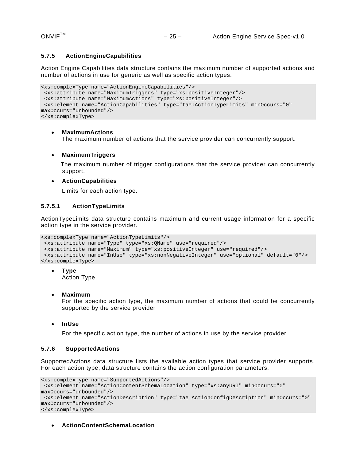#### <span id="page-24-0"></span>**5.7.5 ActionEngineCapabilities**

Action Engine Capabilities data structure contains the maximum number of supported actions and number of actions in use for generic as well as specific action types.

```
<xs:complexType name="ActionEngineCapabilities"/> 
  <xs:attribute name="MaximumTriggers" type="xs:positiveInteger"/> 
  <xs:attribute name="MaximumActions" type="xs:positiveInteger"/> 
  <xs:element name="ActionCapabilities" type="tae:ActionTypeLimits" minOccurs="0" 
maxOccurs="unbounded"/> 
</xs:complexType>
```
#### **MaximumActions**

The maximum number of actions that the service provider can concurrently support.

#### **MaximumTriggers**

 The maximum number of trigger configurations that the service provider can concurrently support.

#### **ActionCapabilities**

Limits for each action type.

#### <span id="page-24-1"></span>**5.7.5.1 ActionTypeLimits**

ActionTypeLimits data structure contains maximum and current usage information for a specific action type in the service provider.

```
<xs:complexType name="ActionTypeLimits"/> 
  <xs:attribute name="Type" type="xs:QName" use="required"/> 
  <xs:attribute name="Maximum" type="xs:positiveInteger" use="required"/> 
  <xs:attribute name="InUse" type="xs:nonNegativeInteger" use="optional" default="0"/> 
</xs:complexType>
```
**Type** 

Action Type

**Maximum** 

For the specific action type, the maximum number of actions that could be concurrently supported by the service provider

**InUse** 

For the specific action type, the number of actions in use by the service provider

#### <span id="page-24-2"></span>**5.7.6 SupportedActions**

SupportedActions data structure lists the available action types that service provider supports. For each action type, data structure contains the action configuration parameters.

```
<xs:complexType name="SupportedActions"/> 
  <xs:element name="ActionContentSchemaLocation" type="xs:anyURI" minOccurs="0" 
maxOccurs="unbounded"/> 
 <xs:element name="ActionDescription" type="tae:ActionConfigDescription" minOccurs="0" 
maxOccurs="unbounded"/> 
</xs:complexType>
```
#### **ActionContentSchemaLocation**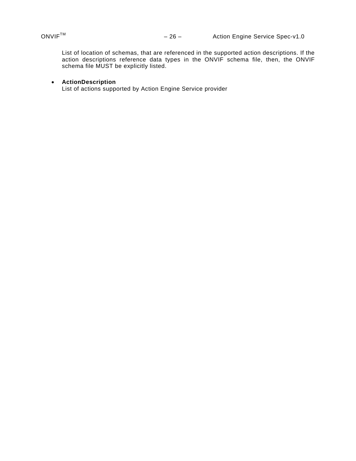List of location of schemas, that are referenced in the supported action descriptions. If the action descriptions reference data types in the ONVIF schema file, then, the ONVIF schema file MUST be explicitly listed.

#### **ActionDescription**

List of actions supported by Action Engine Service provider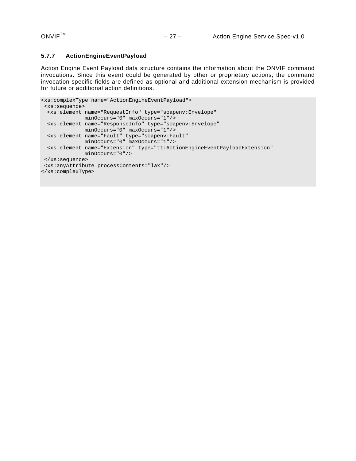# <span id="page-26-0"></span>**5.7.7 ActionEngineEventPayload**

Action Engine Event Payload data structure contains the information about the ONVIF command invocations. Since this event could be generated by other or proprietary actions, the command invocation specific fields are defined as optional and additional extension mechanism is provided for future or additional action definitions.

```
<xs:complexType name="ActionEngineEventPayload"> 
 <xs:sequence> 
 <xs:element name="RequestInfo" type="soapenv:Envelope" 
              minOccurs="0" maxOccurs="1"/> 
 <xs:element name="ResponseInfo" type="soapenv:Envelope" 
             minOccurs="0" maxOccurs="1"/> 
 <xs:element name="Fault" type="soapenv:Fault" 
              minOccurs="0" maxOccurs="1"/> 
 <xs:element name="Extension" type="tt:ActionEngineEventPayloadExtension" 
              minOccurs="0"/> 
 </xs:sequence> 
 <xs:anyAttribute processContents="lax"/> 
</xs:complexType>
```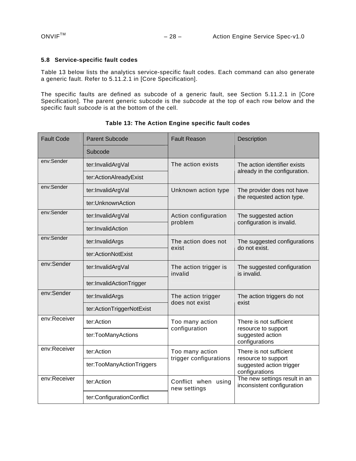#### <span id="page-27-0"></span>**5.8 Service-specific fault codes**

[Table 13](#page-27-1) below lists the analytics service-specific fault codes. Each command can also generate a generic fault. Refer to 5.11.2.1 in [Core Specification].

The specific faults are defined as subcode of a generic fault, see Section 5.11.2.1 in [Core Specification]. The parent generic subcode is the *subcode* at the top of each row below and the specific fault *subcode* is at the bottom of the cell.

<span id="page-27-1"></span>

| <b>Fault Code</b> | <b>Parent Subcode</b>     | <b>Fault Reason</b>                    | Description                                                                                                                                                 |
|-------------------|---------------------------|----------------------------------------|-------------------------------------------------------------------------------------------------------------------------------------------------------------|
|                   | Subcode                   |                                        |                                                                                                                                                             |
| env:Sender        | ter:InvalidArgVal         | The action exists                      | The action identifier exists                                                                                                                                |
|                   | ter:ActionAlreadyExist    |                                        | already in the configuration.                                                                                                                               |
| env:Sender        | ter:InvalidArgVal         | Unknown action type                    | The provider does not have<br>the requested action type.                                                                                                    |
|                   | ter:UnknownAction         |                                        |                                                                                                                                                             |
| env:Sender        | ter:InvalidArgVal         | Action configuration                   | The suggested action<br>configuration is invalid.                                                                                                           |
|                   | ter:InvalidAction         | problem                                |                                                                                                                                                             |
| env:Sender        | ter:InvalidArgs           | The action does not                    | The suggested configurations<br>do not exist.                                                                                                               |
|                   | ter:ActionNotExist        | exist                                  |                                                                                                                                                             |
| env:Sender        | ter:InvalidArgVal         | The action trigger is<br>invalid       | The suggested configuration<br>is invalid.                                                                                                                  |
|                   | ter:InvalidActionTrigger  |                                        |                                                                                                                                                             |
| env:Sender        | ter:InvalidArgs           | The action trigger<br>does not exist   | The action triggers do not<br>exist                                                                                                                         |
|                   | ter:ActionTriggerNotExist |                                        |                                                                                                                                                             |
| env:Receiver      | ter:Action                | Too many action                        | There is not sufficient<br>resource to support<br>suggested action<br>configurations                                                                        |
|                   | ter:TooManyActions        | configuration                          |                                                                                                                                                             |
| env:Receiver      | ter:Action                | Too many action                        | There is not sufficient<br>resource to support<br>suggested action trigger<br>configurations<br>The new settings result in an<br>inconsistent configuration |
|                   | ter:TooManyActionTriggers | trigger configurations                 |                                                                                                                                                             |
| env:Receiver      | ter:Action                | Conflict when<br>using<br>new settings |                                                                                                                                                             |
|                   | ter:ConfigurationConflict |                                        |                                                                                                                                                             |

**Table 13: The Action Engine specific fault codes**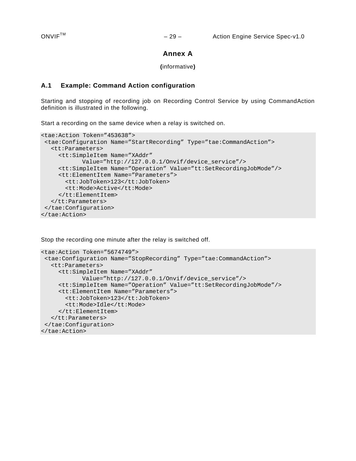# **Annex A**

#### **(**informative**)**

# <span id="page-28-1"></span><span id="page-28-0"></span>**A.1 Example: Command Action configuration**

Starting and stopping of recording job on Recording Control Service by using CommandAction definition is illustrated in the following.

Start a recording on the same device when a relay is switched on.

```
<tae:Action Token="453638"> 
 <tae:Configuration Name="StartRecording" Type="tae:CommandAction"> 
    <tt:Parameters> 
      <tt:SimpleItem Name="XAddr" 
            Value="http://127.0.0.1/Onvif/device_service"/> 
      <tt:SimpleItem Name="Operation" Value="tt:SetRecordingJobMode"/> 
      <tt:ElementItem Name="Parameters"> 
        <tt:JobToken>123</tt:JobToken> 
        <tt:Mode>Active</tt:Mode> 
      </tt:ElementItem> 
   </tt:Parameters> 
  </tae:Configuration> 
</tae:Action>
```
Stop the recording one minute after the relay is switched off.

```
<tae:Action Token="5674749"> 
 <tae:Configuration Name="StopRecording" Type="tae:CommandAction"> 
   <tt:Parameters> 
      <tt:SimpleItem Name="XAddr" 
            Value="http://127.0.0.1/Onvif/device_service"/> 
      <tt:SimpleItem Name="Operation" Value="tt:SetRecordingJobMode"/> 
      <tt:ElementItem Name="Parameters"> 
        <tt:JobToken>123</tt:JobToken> 
        <tt:Mode>Idle</tt:Mode> 
      </tt:ElementItem> 
   </tt:Parameters> 
 </tae:Configuration> 
</tae:Action>
```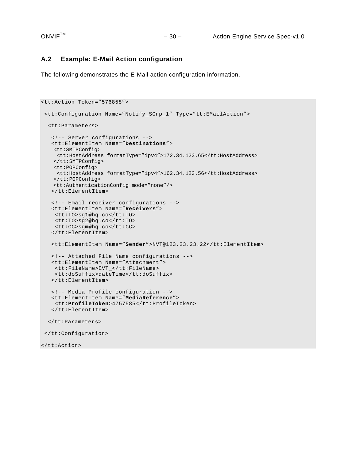# <span id="page-29-0"></span>**A.2 Example: E-Mail Action configuration**

The following demonstrates the E-Mail action configuration information.

```
<tt:Action Token="576858"> 
 <tt:Configuration Name="Notify_SGrp_1" Type="tt:EMailAction"> 
   <tt:Parameters> 
    <!-- Server configurations --> 
    <tt:ElementItem Name="Destinations"> 
    <tt:SMTPConfig> 
     <tt:HostAddress formatType="ipv4">172.34.123.65</tt:HostAddress> 
    </tt:SMTPConfig> 
    <tt:POPConfig> 
     <tt:HostAddress formatType="ipv4">162.34.123.56</tt:HostAddress> 
    </tt:POPConfig> 
    <tt:AuthenticationConfig mode="none"/> 
    </tt:ElementItem> 
    <!-- Email receiver configurations --> 
    <tt:ElementItem Name="Receivers"> 
     <tt:TO>sg1@hq.co</tt:TO> 
     <tt:TO>sg2@hq.co</tt:TO> 
     <tt:CC>sgm@hq.co</tt:CC> 
    </tt:ElementItem> 
    <tt:ElementItem Name="Sender">NVT@123.23.23.22</tt:ElementItem> 
    <!-- Attached File Name configurations --> 
    <tt:ElementItem Name="Attachment"> 
     <tt:FileName>EVT_</tt:FileName> 
     <tt:doSuffix>dateTime</tt:doSuffix> 
    </tt:ElementItem> 
    <!-- Media Profile configuration -->
    <tt:ElementItem Name="MediaReference"> 
     <tt:ProfileToken>4757585</tt:ProfileToken> 
    </tt:ElementItem> 
   </tt:Parameters> 
 </tt:Configuration> 
</tt:Action>
```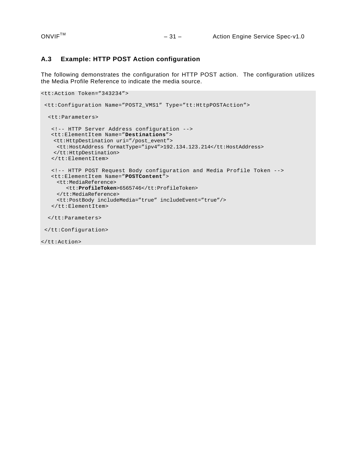# <span id="page-30-0"></span>**A.3 Example: HTTP POST Action configuration**

The following demonstrates the configuration for HTTP POST action. The configuration utilizes the Media Profile Reference to indicate the media source.

```
<tt:Action Token="343234"> 
  <tt:Configuration Name="POST2_VMS1" Type="tt:HttpPOSTAction"> 
  <tt:Parameters> 
    <!-- HTTP Server Address configuration --> 
    <tt:ElementItem Name="Destinations"> 
    <tt:HttpDestination uri="/post_event"> 
     <tt:HostAddress formatType="ipv4">192.134.123.214</tt:HostAddress> 
    </tt:HttpDestination> 
    </tt:ElementItem> 
    <!-- HTTP POST Request Body configuration and Media Profile Token --> 
    <tt:ElementItem Name="POSTContent"> 
     <tt:MediaReference> 
         <tt:ProfileToken>6565746</tt:ProfileToken> 
      </tt:MediaReference> 
     <tt:PostBody includeMedia="true" includeEvent="true"/> 
    </tt:ElementItem> 
   </tt:Parameters> 
  </tt:Configuration> 
</tt:Action>
```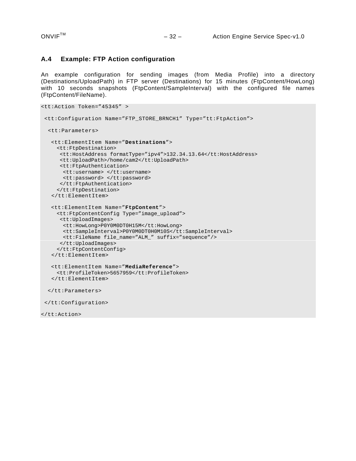</tt:Action>

### <span id="page-31-0"></span>**A.4 Example: FTP Action configuration**

An example configuration for sending images (from Media Profile) into a directory (Destinations/UploadPath) in FTP server (Destinations) for 15 minutes (FtpContent/HowLong) with 10 seconds snapshots (FtpContent/SampleInterval) with the configured file names (FtpContent/FileName).

```
<tt:Action Token="45345" > 
  <tt:Configuration Name="FTP_STORE_BRNCH1" Type="tt:FtpAction"> 
  <tt:Parameters> 
    <tt:ElementItem Name="Destinations"> 
     <tt:FtpDestination> 
      <tt:HostAddress formatType="ipv4">132.34.13.64</tt:HostAddress> 
      <tt:UploadPath>/home/cam2</tt:UploadPath> 
      <tt:FtpAuthentication> 
        <tt:username> </tt:username> 
       <tt:password> </tt:password> 
       </tt:FtpAuthentication> 
      </tt:FtpDestination> 
    </tt:ElementItem> 
    <tt:ElementItem Name="FtpContent"> 
     <tt:FtpContentConfig Type="image_upload"> 
      <tt:UploadImages> 
        <tt:HowLong>P0Y0M0DT0H15M</tt:HowLong> 
        <tt:SampleInterval>P0Y0M0DT0H0M10S</tt:SampleInterval> 
        <tt:FileName file_name="ALM_" suffix="sequence"/> 
       </tt:UploadImages> 
      </tt:FtpContentConfig> 
    </tt:ElementItem> 
    <tt:ElementItem Name="MediaReference"> 
      <tt:ProfileToken>5657959</tt:ProfileToken> 
    </tt:ElementItem> 
   </tt:Parameters> 
  </tt:Configuration>
```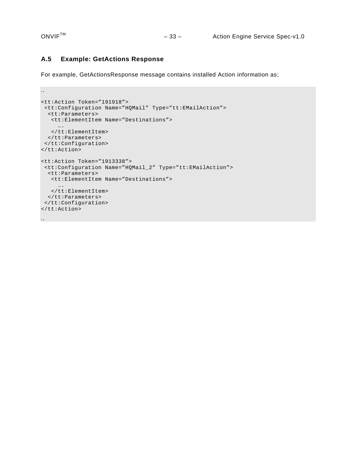..

#### <span id="page-32-0"></span>**A.5 Example: GetActions Response**

For example, GetActionsResponse message contains installed Action information as;

```
<tt:Action Token="191918"> 
 <tt:Configuration Name="HQMail" Type="tt:EMailAction"> 
  <tt:Parameters> 
    <tt:ElementItem Name="Destinations"> 
      …. 
   </tt:ElementItem> 
  </tt:Parameters> 
 </tt:Configuration> 
</tt:Action> 
<tt:Action Token="1913338"> 
 <tt:Configuration Name="HQMail_2" Type="tt:EMailAction"> 
  <tt:Parameters> 
   <tt:ElementItem Name="Destinations"> 
      …. 
   </tt:ElementItem> 
  </tt:Parameters> 
 </tt:Configuration> 
</tt:Action> 
..
```